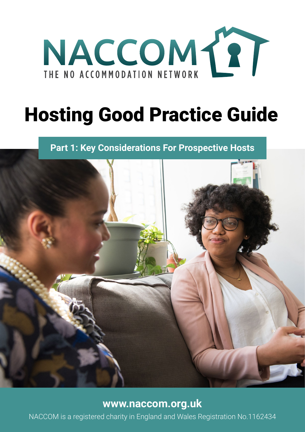

# Hosting Good Practice Guide

**Part 1: Key Considerations For Prospective Hosts**



## **[www.naccom.org.uk](http://www.naccom.org.uk)**

NACCOM is a registered charity in England and Wales Registration No.1162434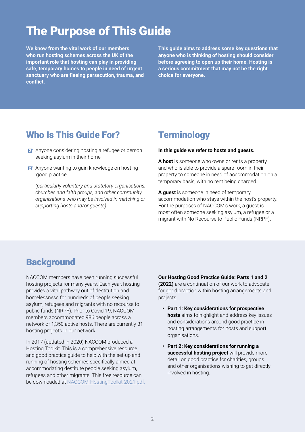## The Purpose of This Guide

**We know from the vital work of our members who run hosting schemes across the UK of the important role that hosting can play in providing safe, temporary homes to people in need of urgent sanctuary who are fleeing persecution, trauma, and conflict.**

**This guide aims to address some key questions that anyone who is thinking of hosting should consider before agreeing to open up their home. Hosting is a serious commitment that may not be the right choice for everyone.**

## Who Is This Guide For?

- $\triangleright$  Anyone considering hosting a refugee or person seeking asylum in their home
- $\triangleright$  Anyone wanting to gain knowledge on hosting 'good practice'

*(particularly voluntary and statutory organisations, churches and faith groups, and other community organisations who may be involved in matching or supporting hosts and/or guests)*

## **Terminology**

#### **In this guide we refer to hosts and guests.**

**A host** is someone who owns or rents a property and who is able to provide a spare room in their property to someone in need of accommodation on a temporary basis, with no rent being charged.

**A guest** is someone in need of temporary accommodation who stays within the host's property. For the purposes of NACCOM's work, a guest is most often someone seeking asylum, a refugee or a migrant with No Recourse to Public Funds (NRPF).

## **Background**

NACCOM members have been running successful hosting projects for many years. Each year, hosting provides a vital pathway out of destitution and homelessness for hundreds of people seeking asylum, refugees and migrants with no recourse to public funds (NRPF). Prior to Covid-19, NACCOM members accommodated 986 people across a network of 1,350 active hosts. There are currently 31 hosting projects in our network.

In 2017 (updated in 2020) NACCOM produced a Hosting Toolkit. This is a comprehensive resource and good practice guide to help with the set-up and running of hosting schemes specifically aimed at accommodating destitute people seeking asylum, refugees and other migrants. This free resource can be downloaded at [NACCOM-HostingToolkit-2021.pdf](https://naccom.org.uk/wp-content/uploads/2020/10/NACCOM-HostingToolkit_2020-03-11-final-digital.pdf).

#### **Our Hosting Good Practice Guide: Parts 1 and 2**

**(2022)** are a continuation of our work to advocate for good practice within hosting arrangements and projects.

- **• Part 1: Key considerations for prospective hosts** aims to highlight and address key issues and considerations around good practice in hosting arrangements for hosts and support organisations.
- **• Part 2: Key considerations for running a successful hosting project** will provide more detail on good practice for charities, groups and other organisations wishing to get directly involved in hosting.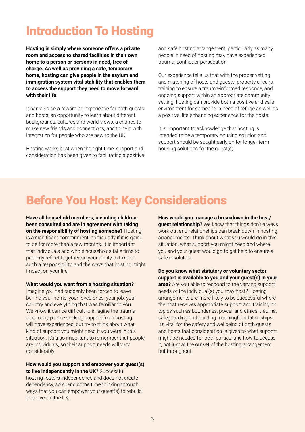## Introduction To Hosting

**Hosting is simply where someone offers a private room and access to shared facilities in their own home to a person or persons in need, free of charge. As well as providing a safe, temporary home, hosting can give people in the asylum and immigration system vital stability that enables them to access the support they need to move forward with their life.** 

It can also be a rewarding experience for both guests and hosts; an opportunity to learn about different backgrounds, cultures and world-views, a chance to make new friends and connections, and to help with integration for people who are new to the UK.

Hosting works best when the right time, support and consideration has been given to facilitating a positive and safe hosting arrangement, particularly as many people in need of hosting may have experienced trauma, conflict or persecution.

Our experience tells us that with the proper vetting and matching of hosts and guests, property checks, training to ensure a trauma-informed response, and ongoing support within an appropriate community setting, hosting can provide both a positive and safe environment for someone in need of refuge as well as a positive, life-enhancing experience for the hosts.

It is important to acknowledge that hosting is intended to be a temporary housing solution and support should be sought early on for longer-term housing solutions for the guest(s).

## Before You Host: Key Considerations

**Have all household members, including children, been consulted and are in agreement with taking on the responsibility of hosting someone?** Hosting is a significant commitment, particularly if it is going to be for more than a few months. It is important that individuals and whole households take time to properly reflect together on your ability to take on such a responsibility, and the ways that hosting might impact on your life.

#### **What would you want from a hosting situation?**

Imagine you had suddenly been forced to leave behind your home, your loved ones, your job, your country and everything that was familiar to you. We know it can be difficult to imagine the trauma that many people seeking support from hosting will have experienced, but try to think about what kind of support you might need if you were in this situation. It's also important to remember that people are individuals, so their support needs will vary considerably.

**How would you support and empower your guest(s) to live independently in the UK?** Successful hosting fosters independence and does not create dependency, so spend some time thinking through ways that you can empower your guest(s) to rebuild their lives in the UK.

**How would you manage a breakdown in the host/ guest relationship?** We know that things don't always work out and relationships can break down in hosting arrangements. Think about what you would do in this situation, what support you might need and where you and your guest would go to get help to ensure a safe resolution.

**Do you know what statutory or voluntary sector support is available to you and your guest(s) in your area?** Are you able to respond to the varying support needs of the individual(s) you may host? Hosting arrangements are more likely to be successful where the host receives appropriate support and training on topics such as boundaries, power and ethics, trauma, safeguarding and building meaningful relationships. It's vital for the safety and wellbeing of both guests and hosts that consideration is given to what support might be needed for both parties, and how to access it, not just at the outset of the hosting arrangement but throughout.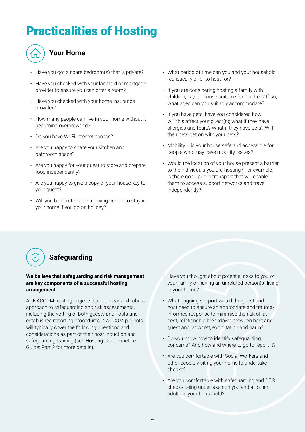## Practicalities of Hosting



### **Your Home**

- Have you got a spare bedroom(s) that is private?
- Have you checked with your landlord or mortgage provider to ensure you can offer a room?
- Have you checked with your home insurance provider?
- How many people can live in your home without it becoming overcrowded?
- Do you have Wi-Fi internet access?
- Are you happy to share your kitchen and bathroom space?
- Are you happy for your guest to store and prepare food independently?
- Are you happy to give a copy of your house key to your guest?
- Will you be comfortable allowing people to stay in your home if you go on holiday?
- What period of time can you and your household realistically offer to host for?
- If you are considering hosting a family with children, is your house suitable for children? If so, what ages can you suitably accommodate?
- If you have pets, have you considered how will this affect your quest(s); what if they have allergies and fears? What if they have pets? Will their pets get on with your pets?
- Mobility is your house safe and accessible for people who may have mobility issues?
- Would the location of your house present a barrier to the individuals you are hosting? For example, is there good public transport that will enable them to access support networks and travel independently?



#### **We believe that safeguarding and risk management are key components of a successful hosting arrangement.**

All NACCOM hosting projects have a clear and robust approach to safeguarding and risk assessments, including the vetting of both guests and hosts and established reporting procedures. NACCOM projects will typically cover the following questions and considerations as part of their host induction and safeguarding training (see Hosting Good Practice Guide: Part 2 for more details).

- Have you thought about potential risks to you or your family of having an unrelated person(s) living in your home?
- What ongoing support would the guest and host need to ensure an appropriate and traumainformed response to minimise the risk of, at best, relationship breakdown between host and guest and, at worst, exploitation and harm?
- Do you know how to identify safeguarding concerns? And how and where to go to report it?
- Are you comfortable with Social Workers and other people visiting your home to undertake checks?
- Are you comfortable with safeguarding and DBS checks being undertaken on you and all other adults in your household?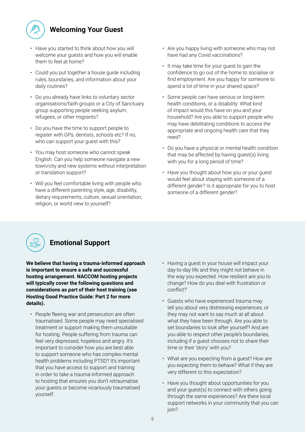

### **Welcoming Your Guest**

- Have you started to think about how you will welcome your guests and how you will enable them to feel at home?
- Could you put together a house guide including rules, boundaries, and information about your daily routines?
- Do you already have links to voluntary sector organisations/faith groups or a City of Sanctuary group supporting people seeking asylum, refugees, or other migrants?
- Do you have the time to support people to register with GPs, dentists, schools etc? If no, who can support your guest with this?
- You may host someone who cannot speak English. Can you help someone navigate a new town/city and new systems without interpretation or translation support?
- Will you feel comfortable living with people who have a different parenting style, age, disability, dietary requirements, culture, sexual orientation, religion, or world view to yourself?
- Are you happy living with someone who may not have had any Covid vaccinations?
- It may take time for your guest to gain the confidence to go out of the home to socialise or find employment. Are you happy for someone to spend a lot of time in your shared space?
- Some people can have serious or long-term health conditions, or a disability. What kind of impact would this have on you and your household? Are you able to support people who may have debilitating conditions to access the appropriate and ongoing health care that they need?
- Do you have a physical or mental health condition that may be affected by having guest(s) living with you for a long period of time?
- Have you thought about how you or your guest would feel about staying with someone of a different gender? Is it appropriate for you to host someone of a different gender?



### **Emotional Support**

**We believe that having a trauma-informed approach is important to ensure a safe and successful hosting arrangement. NACCOM hosting projects will typically cover the following questions and considerations as part of their host training (see Hosting Good Practice Guide: Part 2 for more details).**

- People fleeing war and persecution are often traumatised. Some people may need specialised treatment or support making them unsuitable for hosting. People suffering from trauma can feel very depressed, hopeless and angry. It's important to consider how you are best able to support someone who has complex mental health problems including PTSD? It's important that you have access to support and training in order to take a trauma-informed approach to hosting that ensures you don't retraumatise your guests or become vicariously traumatised yourself.
- Having a guest in your house will impact your day-to-day life and they might not behave in the way you expected. How resilient are you to change? How do you deal with frustration or conflict?'
- Guests who have experienced trauma may tell you about very distressing experiences, or they may not want to say much at all about what they have been through. Are you able to set boundaries to look after yourself? And are you able to respect other people's boundaries, including if a guest chooses not to share their time or their 'story' with you?
- What are you expecting from a guest? How are you expecting them to behave? What if they are very different to this expectation?
- Have you thought about opportunities for you and your guest(s) to connect with others going through the same experiences? Are there local support networks in your community that you can join?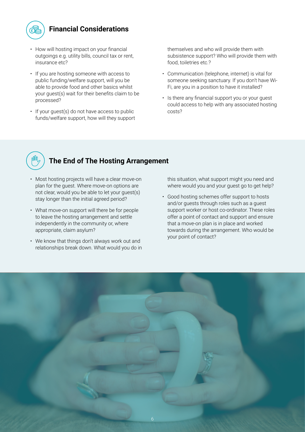

### **Financial Considerations**

- How will hosting impact on your financial outgoings e.g. utility bills, council tax or rent, insurance etc?
- If you are hosting someone with access to public funding/welfare support, will you be able to provide food and other basics whilst your guest(s) wait for their benefits claim to be processed?
- If your guest(s) do not have access to public funds/welfare support, how will they support

themselves and who will provide them with subsistence support? Who will provide them with food, toiletries etc.?

- Communication (telephone, internet) is vital for someone seeking sanctuary. If you don't have Wi-Fi, are you in a position to have it installed?
- Is there any financial support you or your guest could access to help with any associated hosting costs?



### **The End of The Hosting Arrangement**

- Most hosting projects will have a clear move-on plan for the guest. Where move-on options are not clear, would you be able to let your guest(s) stay longer than the initial agreed period?
- What move-on support will there be for people to leave the hosting arrangement and settle independently in the community or, where appropriate, claim asylum?
- We know that things don't always work out and relationships break down. What would you do in

this situation, what support might you need and where would you and your guest go to get help?

• Good hosting schemes offer support to hosts and/or guests through roles such as a guest support worker or host co-ordinator. These roles offer a point of contact and support and ensure that a move-on plan is in place and worked towards during the arrangement. Who would be your point of contact?

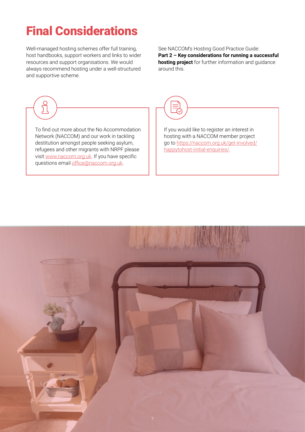## Final Considerations

Well-managed hosting schemes offer full training, host handbooks, support workers and links to wider resources and support organisations. We would always recommend hosting under a well-structured and supportive scheme.

ၣ

See NACCOM's Hosting Good Practice Guide: **Part 2 – Key considerations for running a successful hosting project** for further information and guidance around this.

To find out more about the No Accommodation Network (NACCOM) and our work in tackling destitution amongst people seeking asylum, refugees and other migrants with NRPF please visit [www.naccom.org.uk](http://www.naccom.org.uk/). If you have specific questions email [office@naccom.org.uk](mailto:office%40naccom.org.uk?subject=).



If you would like to register an interest in hosting with a NACCOM member project go to [https://naccom.org.uk/get-involved/](https://naccom.org.uk/get-involved/happytohost-initial-enquiries/) [happytohost-initial-enquiries/](https://naccom.org.uk/get-involved/happytohost-initial-enquiries/).